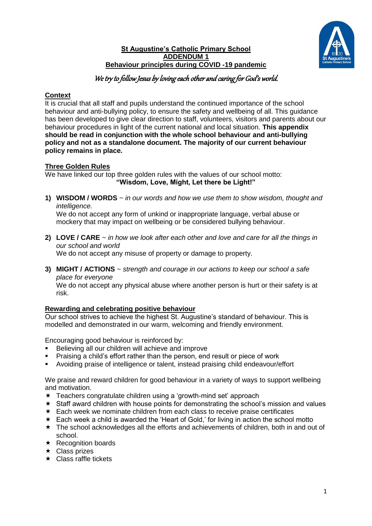

### **St Augustine's Catholic Primary School ADDENDUM 1 Behaviour principles during COVID -19 pandemic**

# We try to follow Jesus by loving each other and caring for God's world.

## **Context**

It is crucial that all staff and pupils understand the continued importance of the school behaviour and anti-bullying policy, to ensure the safety and wellbeing of all. This guidance has been developed to give clear direction to staff, volunteers, visitors and parents about our behaviour procedures in light of the current national and local situation. **This appendix should be read in conjunction with the whole school behaviour and anti-bullying policy and not as a standalone document. The majority of our current behaviour policy remains in place.** 

## **Three Golden Rules**

We have linked our top three golden rules with the values of our school motto: **"Wisdom, Love, Might, Let there be Light!"**

**1) WISDOM / WORDS** ~ *in our words and how we use them to show wisdom, thought and intelligence.* We do not accept any form of unkind or inappropriate language, verbal abuse or

mockery that may impact on wellbeing or be considered bullying behaviour.

- **2) LOVE / CARE** ~ *in how we look after each other and love and care for all the things in our school and world* We do not accept any misuse of property or damage to property.
- **3) MIGHT / ACTIONS** ~ *strength and courage in our actions to keep our school a safe place for everyone* We do not accept any physical abuse where another person is hurt or their safety is at risk.

## **Rewarding and celebrating positive behaviour**

Our school strives to achieve the highest St. Augustine's standard of behaviour. This is modelled and demonstrated in our warm, welcoming and friendly environment.

Encouraging good behaviour is reinforced by:

- Believing all our children will achieve and improve
- Praising a child's effort rather than the person, end result or piece of work
- Avoiding praise of intelligence or talent, instead praising child endeavour/effort

We praise and reward children for good behaviour in a variety of ways to support wellbeing and motivation.

- $\star$  Teachers congratulate children using a 'growth-mind set' approach
- $\star$  Staff award children with house points for demonstrating the school's mission and values
- $\star$  Each week we nominate children from each class to receive praise certificates
- \* Each week a child is awarded the 'Heart of Gold,' for living in action the school motto
- $\star$  The school acknowledges all the efforts and achievements of children, both in and out of school.
- $\star$  Recognition boards
- $\star$  Class prizes
- $\star$  Class raffle tickets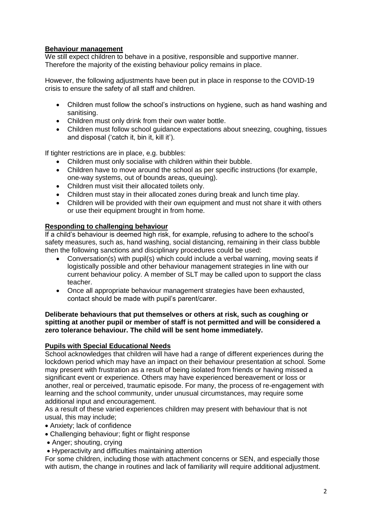## **Behaviour management**

We still expect children to behave in a positive, responsible and supportive manner. Therefore the majority of the existing behaviour policy remains in place.

However, the following adjustments have been put in place in response to the COVID-19 crisis to ensure the safety of all staff and children.

- Children must follow the school's instructions on hygiene, such as hand washing and sanitising.
- Children must only drink from their own water bottle.
- Children must follow school guidance expectations about sneezing, coughing, tissues and disposal ('catch it, bin it, kill it').

If tighter restrictions are in place, e.g. bubbles:

- Children must only socialise with children within their bubble.
- Children have to move around the school as per specific instructions (for example, one-way systems, out of bounds areas, queuing).
- Children must visit their allocated toilets only.
- Children must stay in their allocated zones during break and lunch time play.
- Children will be provided with their own equipment and must not share it with others or use their equipment brought in from home.

#### **Responding to challenging behaviour**

If a child's behaviour is deemed high risk, for example, refusing to adhere to the school's safety measures, such as, hand washing, social distancing, remaining in their class bubble then the following sanctions and disciplinary procedures could be used:

- Conversation(s) with pupil(s) which could include a verbal warning, moving seats if logistically possible and other behaviour management strategies in line with our current behaviour policy. A member of SLT may be called upon to support the class teacher.
- Once all appropriate behaviour management strategies have been exhausted, contact should be made with pupil's parent/carer.

#### **Deliberate behaviours that put themselves or others at risk, such as coughing or spitting at another pupil or member of staff is not permitted and will be considered a zero tolerance behaviour. The child will be sent home immediately.**

#### **Pupils with Special Educational Needs**

School acknowledges that children will have had a range of different experiences during the lockdown period which may have an impact on their behaviour presentation at school. Some may present with frustration as a result of being isolated from friends or having missed a significant event or experience. Others may have experienced bereavement or loss or another, real or perceived, traumatic episode. For many, the process of re-engagement with learning and the school community, under unusual circumstances, may require some additional input and encouragement.

As a result of these varied experiences children may present with behaviour that is not usual, this may include;

- Anxiety; lack of confidence
- Challenging behaviour; fight or flight response
- Anger; shouting, crying
- Hyperactivity and difficulties maintaining attention

For some children, including those with attachment concerns or SEN, and especially those with autism, the change in routines and lack of familiarity will require additional adjustment.